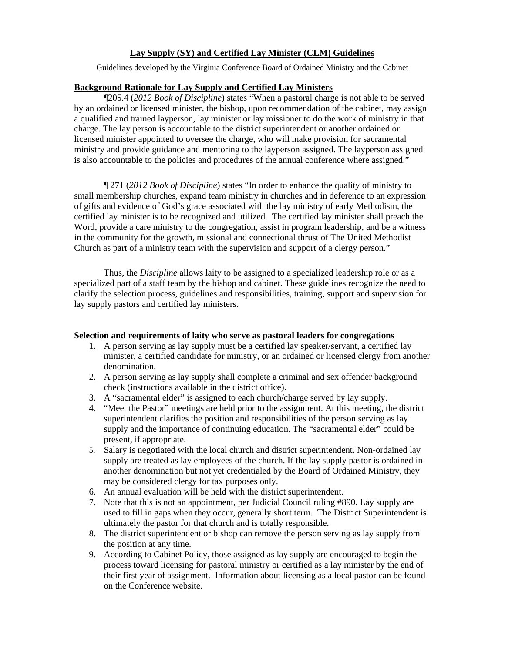## **Lay Supply (SY) and Certified Lay Minister (CLM) Guidelines**

Guidelines developed by the Virginia Conference Board of Ordained Ministry and the Cabinet

#### **Background Rationale for Lay Supply and Certified Lay Ministers**

 ¶205.4 (*2012 Book of Discipline*) states "When a pastoral charge is not able to be served by an ordained or licensed minister, the bishop, upon recommendation of the cabinet, may assign a qualified and trained layperson, lay minister or lay missioner to do the work of ministry in that charge. The lay person is accountable to the district superintendent or another ordained or licensed minister appointed to oversee the charge, who will make provision for sacramental ministry and provide guidance and mentoring to the layperson assigned. The layperson assigned is also accountable to the policies and procedures of the annual conference where assigned."

¶ 271 (*2012 Book of Discipline*) states "In order to enhance the quality of ministry to small membership churches, expand team ministry in churches and in deference to an expression of gifts and evidence of God's grace associated with the lay ministry of early Methodism, the certified lay minister is to be recognized and utilized. The certified lay minister shall preach the Word, provide a care ministry to the congregation, assist in program leadership, and be a witness in the community for the growth, missional and connectional thrust of The United Methodist Church as part of a ministry team with the supervision and support of a clergy person."

 Thus, the *Discipline* allows laity to be assigned to a specialized leadership role or as a specialized part of a staff team by the bishop and cabinet. These guidelines recognize the need to clarify the selection process, guidelines and responsibilities, training, support and supervision for lay supply pastors and certified lay ministers.

### **Selection and requirements of laity who serve as pastoral leaders for congregations**

- 1. A person serving as lay supply must be a certified lay speaker/servant, a certified lay minister, a certified candidate for ministry, or an ordained or licensed clergy from another denomination.
- 2. A person serving as lay supply shall complete a criminal and sex offender background check (instructions available in the district office).
- 3. A "sacramental elder" is assigned to each church/charge served by lay supply.
- 4. "Meet the Pastor" meetings are held prior to the assignment. At this meeting, the district superintendent clarifies the position and responsibilities of the person serving as lay supply and the importance of continuing education. The "sacramental elder" could be present, if appropriate.
- 5. Salary is negotiated with the local church and district superintendent. Non-ordained lay supply are treated as lay employees of the church. If the lay supply pastor is ordained in another denomination but not yet credentialed by the Board of Ordained Ministry, they may be considered clergy for tax purposes only.
- 6. An annual evaluation will be held with the district superintendent.
- 7. Note that this is not an appointment, per Judicial Council ruling #890. Lay supply are used to fill in gaps when they occur, generally short term. The District Superintendent is ultimately the pastor for that church and is totally responsible.
- 8. The district superintendent or bishop can remove the person serving as lay supply from the position at any time.
- 9. According to Cabinet Policy, those assigned as lay supply are encouraged to begin the process toward licensing for pastoral ministry or certified as a lay minister by the end of their first year of assignment. Information about licensing as a local pastor can be found on the Conference website.